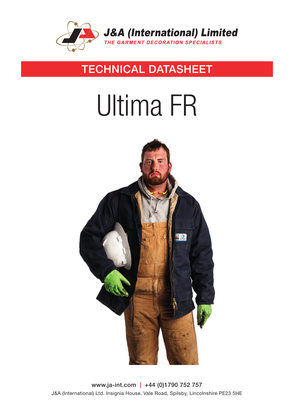

## TECHNICAL DATASHEET

# Ultima FR



www.ja-int.com | +44 (0)1790 752 757 J&A (International) Ltd. Insignia House, Vale Road, Spilsby, Lincolnshire PE23 5HE